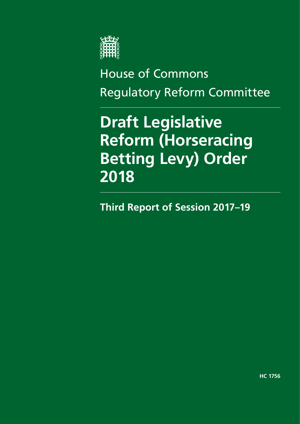

# House of Commons Regulatory Reform Committee

# **Draft Legislative Reform (Horseracing Betting Levy) Order 2018**

**Third Report of Session 2017–19**

**HC 1756**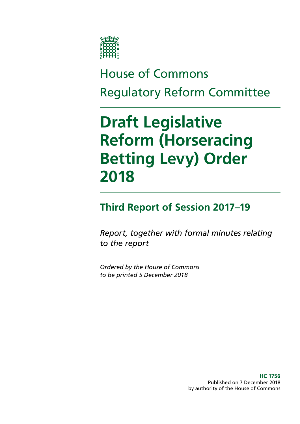

# House of Commons Regulatory Reform Committee

# **Draft Legislative Reform (Horseracing Betting Levy) Order 2018**

## **Third Report of Session 2017–19**

*Report, together with formal minutes relating to the report*

*Ordered by the House of Commons to be printed 5 December 2018*

> **HC 1756** Published on 7 December 2018 by authority of the House of Commons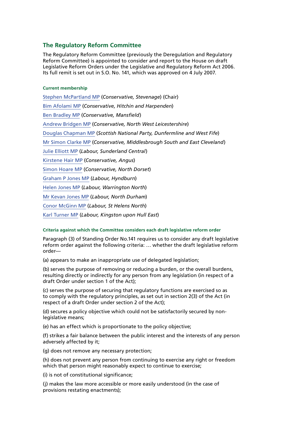#### **The Regulatory Reform Committee**

The Regulatory Reform Committee (previously the Deregulation and Regulatory Reform Committee) is appointed to consider and report to the House on draft Legislative Reform Orders under the Legislative and Regulatory Reform Act 2006. Its full remit is set out in S.O. No. 141, which was approved on 4 July 2007.

#### **Current membership**

[Stephen McPartland MP](https://www.parliament.uk/biographies/commons/stephen-mcpartland/4093) (*Conservative, Stevenage*) (Chair) [Bim Afolami MP](https://www.parliament.uk/biographies/commons/bim-afolami/4639) (*Conservative, Hitchin and Harpenden*) [Ben Bradley MP](https://www.parliament.uk/biographies/commons/ben-bradley/4663) (*Conservative, Mansfield*) [Andrew Bridgen MP](https://www.parliament.uk/biographies/commons/andrew-bridgen/4133) (*Conservative, North West Leicestershire*) [Douglas Chapman MP](https://www.parliament.uk/biographies/commons/douglas-chapman/4402) (*Scottish National Party, Dunfermline and West Fife*) [Mr Simon Clarke MP](https://www.parliament.uk/biographies/commons/mr-simon-clarke/4655) (*Conservative, Middlesbrough South and East Cleveland*) [Julie Elliott MP](https://www.parliament.uk/biographies/commons/julie-elliott/4127) (*Labour, Sunderland Central*) [Kirstene Hair MP](https://www.parliament.uk/biographies/commons/kirstene-hair/4675) (*Conservative, Angus*) [Simon Hoare MP](https://www.parliament.uk/biographies/commons/simon-hoare/4494) (*Conservative, North Dorset*) [Graham P Jones MP](https://www.parliament.uk/biographies/commons/graham-p-jones/3999) (*Labour, Hyndburn*) [Helen Jones MP](https://www.parliament.uk/biographies/commons/helen-jones/432) (*Labour, Warrington North*) [Mr Kevan Jones MP](https://www.parliament.uk/biographies/commons/mr-kevan-jones/1438) (*Labour, North Durham*) [Conor McGinn MP](https://www.parliament.uk/biographies/commons/conor-mcginn/4458) (*Labour, St Helens North*) [Karl Turner MP](https://www.parliament.uk/biographies/commons/karl-turner/4030) (*Labour, Kingston upon Hull East*)

#### **Criteria against which the Committee considers each draft legislative reform order**

Paragraph (3) of Standing Order No.141 requires us to consider any draft legislative reform order against the following criteria: … whether the draft legislative reform order—

(a) appears to make an inappropriate use of delegated legislation;

(b) serves the purpose of removing or reducing a burden, or the overall burdens, resulting directly or indirectly for any person from any legislation (in respect of a draft Order under section 1 of the Act);

(c) serves the purpose of securing that regulatory functions are exercised so as to comply with the regulatory principles, as set out in section 2(3) of the Act (in respect of a draft Order under section 2 of the Act);

(d) secures a policy objective which could not be satisfactorily secured by nonlegislative means;

(e) has an effect which is proportionate to the policy objective;

(f) strikes a fair balance between the public interest and the interests of any person adversely affected by it;

(g) does not remove any necessary protection;

(h) does not prevent any person from continuing to exercise any right or freedom which that person might reasonably expect to continue to exercise;

(i) is not of constitutional significance;

(j) makes the law more accessible or more easily understood (in the case of provisions restating enactments);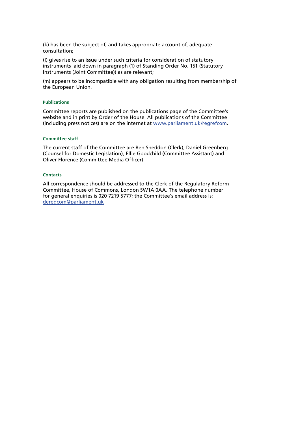(k) has been the subject of, and takes appropriate account of, adequate consultation;

(l) gives rise to an issue under such criteria for consideration of statutory instruments laid down in paragraph (1) of Standing Order No. 151 (Statutory Instruments (Joint Committee)) as are relevant;

(m) appears to be incompatible with any obligation resulting from membership of the European Union.

#### **Publications**

Committee reports are published on the publications page of the Committee's website and in print by Order of the House. All publications of the Committee (including press notices) are on the internet at [www.parliament.uk/regrefcom](http://www.parliament.uk/regrefcom).

#### **Committee staff**

The current staff of the Committee are Ben Sneddon (Clerk), Daniel Greenberg (Counsel for Domestic Legislation), Ellie Goodchild (Committee Assistant) and Oliver Florence (Committee Media Officer).

#### **Contacts**

All correspondence should be addressed to the Clerk of the Regulatory Reform Committee, House of Commons, London SW1A 0AA. The telephone number for general enquiries is 020 7219 5777; the Committee's email address is: [deregcom@parliament.uk](mailto:deregcom%40parliament.uk?subject=)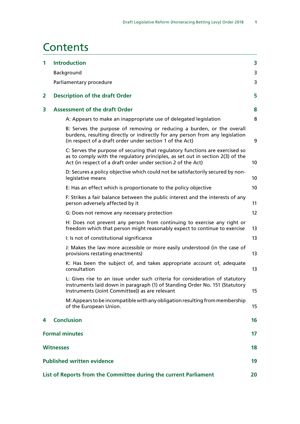### **Contents**

| $\mathbf{1}$                               | <b>Introduction</b>                                                                                                                                                                                                            | 3  |  |  |
|--------------------------------------------|--------------------------------------------------------------------------------------------------------------------------------------------------------------------------------------------------------------------------------|----|--|--|
|                                            | Background                                                                                                                                                                                                                     | 3  |  |  |
|                                            | Parliamentary procedure                                                                                                                                                                                                        | 3  |  |  |
| <b>Description of the draft Order</b><br>2 |                                                                                                                                                                                                                                | 5  |  |  |
| 3                                          | <b>Assessment of the draft Order</b>                                                                                                                                                                                           | 8  |  |  |
|                                            | A: Appears to make an inappropriate use of delegated legislation                                                                                                                                                               | 8  |  |  |
|                                            | B: Serves the purpose of removing or reducing a burden, or the overall<br>burdens, resulting directly or indirectly for any person from any legislation<br>(in respect of a draft order under section 1 of the Act)            | 9  |  |  |
|                                            | C: Serves the purpose of securing that regulatory functions are exercised so<br>as to comply with the regulatory principles, as set out in section 2(3) of the<br>Act (in respect of a draft order under section 2 of the Act) | 10 |  |  |
|                                            | D: Secures a policy objective which could not be satisfactorily secured by non-<br>legislative means                                                                                                                           | 10 |  |  |
|                                            | E: Has an effect which is proportionate to the policy objective                                                                                                                                                                | 10 |  |  |
|                                            | F: Strikes a fair balance between the public interest and the interests of any<br>person adversely affected by it                                                                                                              | 11 |  |  |
|                                            | G: Does not remove any necessary protection                                                                                                                                                                                    | 12 |  |  |
|                                            | H: Does not prevent any person from continuing to exercise any right or<br>freedom which that person might reasonably expect to continue to exercise                                                                           | 13 |  |  |
|                                            | I: Is not of constitutional significance                                                                                                                                                                                       | 13 |  |  |
|                                            | J: Makes the law more accessible or more easily understood (in the case of<br>provisions restating enactments)                                                                                                                 | 13 |  |  |
|                                            | K: Has been the subject of, and takes appropriate account of, adequate<br>consultation                                                                                                                                         | 13 |  |  |
|                                            | L: Gives rise to an issue under such criteria for consideration of statutory<br>instruments laid down in paragraph (1) of Standing Order No. 151 (Statutory<br>Instruments (Joint Committee)) as are relevant                  | 15 |  |  |
|                                            | M: Appears to be incompatible with any obligation resulting from membership<br>of the European Union.                                                                                                                          | 15 |  |  |
| 4                                          | <b>Conclusion</b>                                                                                                                                                                                                              | 16 |  |  |
|                                            | <b>Formal minutes</b>                                                                                                                                                                                                          |    |  |  |
|                                            | <b>Witnesses</b>                                                                                                                                                                                                               |    |  |  |
|                                            | <b>Published written evidence</b>                                                                                                                                                                                              |    |  |  |
|                                            | List of Reports from the Committee during the current Parliament<br>20                                                                                                                                                         |    |  |  |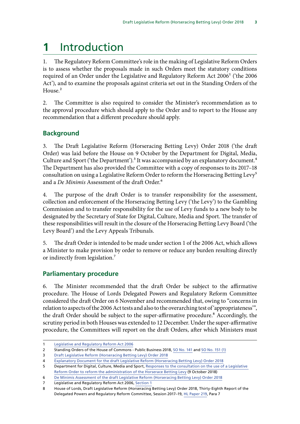# <span id="page-7-0"></span>**1** Introduction

1. The Regulatory Reform Committee's role in the making of Legislative Reform Orders is to assess whether the proposals made in such Orders meet the statutory conditions required of an Order under the Legislative and Regulatory Reform Act 2006<sup>1</sup> ('the 2006 Act'), and to examine the proposals against criteria set out in the Standing Orders of the House.<sup>2</sup>

2. The Committee is also required to consider the Minister's recommendation as to the approval procedure which should apply to the Order and to report to the House any recommendation that a different procedure should apply.

### **Background**

3. The Draft Legislative Reform (Horseracing Betting Levy) Order 2018 ('the draft Order) was laid before the House on 9 October by the Department for Digital, Media, Culture and Sport ('the Department').<sup>3</sup> It was accompanied by an explanatory document.<sup>4</sup> The Department has also provided the Committee with a copy of responses to its 2017–18 consultation on using a Legislative Reform Order to reform the Horseracing Betting Levy<sup>5</sup> and a *De Minimis* Assessment of the draft Order.6

4. The purpose of the draft Order is to transfer responsibility for the assessment, collection and enforcement of the Horseracing Betting Levy ('the Levy') to the Gambling Commission and to transfer responsibility for the use of Levy funds to a new body to be designated by the Secretary of State for Digital, Culture, Media and Sport. The transfer of these responsibilities will result in the closure of the Horseracing Betting Levy Board ('the Levy Board') and the Levy Appeals Tribunals.

5. The draft Order is intended to be made under section 1 of the 2006 Act, which allows a Minister to make provision by order to remove or reduce any burden resulting directly or indirectly from legislation.7

### **Parliamentary procedure**

6. The Minister recommended that the draft Order be subject to the affirmative procedure. The House of Lords Delegated Powers and Regulatory Reform Committee considered the draft Order on 6 November and recommended that, owing to "concerns in relation to aspects of the 2006 Act tests and also to the overarching test of 'appropriateness'", the draft Order should be subject to the super-affirmative procedure.<sup>8</sup> Accordingly, the scrutiny period in both Houses was extended to 12 December. Under the super-affirmative procedure, the Committees will report on the draft Orders, after which Ministers must

<sup>1</sup> [Legislative and Regulatory Reform Act 2006](https://www.legislation.gov.uk/ukpga/2006/51/contents)

<sup>2</sup> Standing Orders of the House of Commons - Public Business 2018, [SO No. 141](https://www.publications.parliament.uk/pa/cm201719/cmstords/1020/so_1020_180501.pdf) and [SO No. 151 \(1\)](https://www.publications.parliament.uk/pa/cm201719/cmstords/1020/so_1020_180501.pdf)

<sup>3</sup> [Draft Legislative Reform \(Horseracing Betting Levy\) Order 2018](https://www.legislation.gov.uk/ukdsi/2018/9780111173084/pdfs/ukdsi_9780111173084_en.pdf)

<sup>4</sup> [Explanatory Document for the draft Legislative Reform \(Horseracing Betting Levy\) Order 2018](https://www.legislation.gov.uk/ukdsi/2018/9780111173084/pdfs/ukdsiem_9780111173084_en.pdf)

<sup>5</sup> Department for Digital, Culture, Media and Sport, [Responses to the consultation on the use of a Legislative](https://assets.publishing.service.gov.uk/government/uploads/system/uploads/attachment_data/file/747276/Final_Levy_consultation_responses.zip)  [Reform Order to reform the administration of the Horserace Betting Levy](https://assets.publishing.service.gov.uk/government/uploads/system/uploads/attachment_data/file/747276/Final_Levy_consultation_responses.zip) (9 October 2018)

<sup>6</sup> [De Minimis Assessment of the draft Legislative Reform \(Horseracing Betting Levy\) Order 2018](https://www.legislation.gov.uk/ukia/2018/128/pdfs/ukia_20180128_en.pdf)

<sup>7</sup> Legislative and Regulatory Reform Act 2006, [Section 1](https://www.legislation.gov.uk/ukpga/2006/51/section/1)

<sup>8</sup> House of Lords, Draft Legislative Reform (Horseracing Betting Levy) Order 2018, Thirty-Eighth Report of the Delegated Powers and Regulatory Reform Committee, Session 2017–19, [HL Paper 219,](https://publications.parliament.uk/pa/ld201719/ldselect/lddelreg/219/219.pdf) Para 7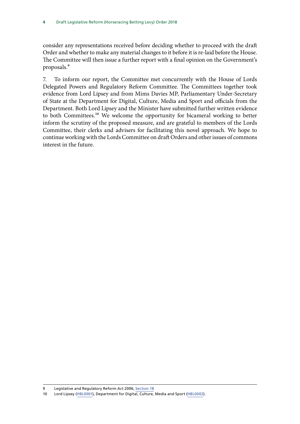consider any representations received before deciding whether to proceed with the draft Order and whether to make any material changes to it before it is re-laid before the House. The Committee will then issue a further report with a final opinion on the Government's proposals.9

7. To inform our report, the Committee met concurrently with the House of Lords Delegated Powers and Regulatory Reform Committee. The Committees together took evidence from Lord Lipsey and from Mims Davies MP, Parliamentary Under-Secretary of State at the Department for Digital, Culture, Media and Sport and officials from the Department. Both Lord Lipsey and the Minister have submitted further written evidence to both Committees.<sup>10</sup> We welcome the opportunity for bicameral working to better inform the scrutiny of the proposed measure, and are grateful to members of the Lords Committee, their clerks and advisers for facilitating this novel approach. We hope to continue working with the Lords Committee on draft Orders and other issues of commons interest in the future.

<sup>9</sup> Legislative and Regulatory Reform Act 2006, [Section 18](https://www.legislation.gov.uk/ukpga/2006/51/section/18)

<sup>10</sup> Lord Lipsey [\(HBL0001](http://data.parliament.uk/WrittenEvidence/CommitteeEvidence.svc/EvidenceDocument/Regulatory%20Reform%20Committee/Draft%20Legislative%20Reform%20Horseracing%20Betting%20Levy%20Order%202018/written/93161.html)), Department for Digital, Culture, Media and Sport [\(HBL0002\)](http://data.parliament.uk/WrittenEvidence/CommitteeEvidence.svc/EvidenceDocument/Regulatory%20Reform%20Committee/Draft%20Legislative%20Reform%20Horseracing%20Betting%20Levy%20Order%202018/written/93274.html).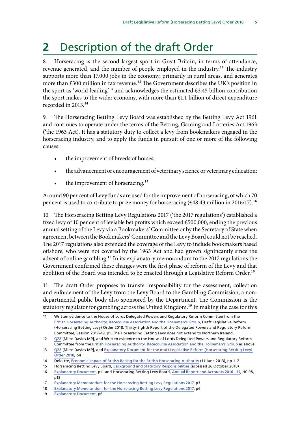## <span id="page-9-0"></span>**2** Description of the draft Order

8. Horseracing is the second largest sport in Great Britain, in terms of attendance, revenue generated, and the number of people employed in the industry.<sup>11</sup> The industry supports more than 17,000 jobs in the economy, primarily in rural areas, and generates more than  $£300$  million in tax revenue.<sup>12</sup> The Government describes the UK's position in the sport as 'world-leading'<sup>13</sup> and acknowledges the estimated £3.45 billion contribution the sport makes to the wider economy, with more than £1.1 billion of direct expenditure recorded in 2013.14

9. The Horseracing Betting Levy Board was established by the Betting Levy Act 1961 and continues to operate under the terms of the Betting, Gaming and Lotteries Act 1963 ('the 1963 Act). It has a statutory duty to collect a levy from bookmakers engaged in the horseracing industry, and to apply the funds in pursuit of one or more of the following causes:

- the improvement of breeds of horses;
- the advancement or encouragement of veterinary science or veterinary education;
- the improvement of horseracing.<sup>15</sup>

Around 90 per cent of Levy funds are used for the improvement of horseracing, of which 70 per cent is used to contribute to prize money for horseracing  $(£48.43$  million in 2016/17).<sup>16</sup>

10. The Horseracing Betting Levy Regulations 2017 ('the 2017 regulations') established a fixed levy of 10 per cent of leviable bet profits which exceed £500,000, ending the previous annual setting of the Levy via a Bookmakers' Committee or by the Secretary of State when agreement between the Bookmakers' Committee and the Levy Board could not be reached. The 2017 regulations also extended the coverage of the Levy to include bookmakers based offshore, who were not covered by the 1963 Act and had grown significantly since the advent of online gambling.<sup>17</sup> In its explanatory memorandum to the 2017 regulations the Government confirmed these changes were the first phase of reform of the Levy and that abolition of the Board was intended to be enacted through a Legislative Reform Order.<sup>18</sup>

11. The draft Order proposes to transfer responsibility for the assessment, collection and enforcement of the Levy from the Levy Board to the Gambling Commission, a nondepartmental public body also sponsored by the Department. The Commission is the statutory regulator for gambling across the United Kingdom.<sup>19</sup> In making the case for this

<sup>11</sup> Written evidence to the House of Lords Delegated Powers and Regulatory Reform Committee from the [British Horseracing Authority, Racecourse Association and the Horsemen's Group,](https://hopuk-my.sharepoint.com/personal/sneddonb_parliament_uk/Documents/RRC/Draft%20Legislative%20Reform%20(Horseracing%20Betting%20Levy)%20Order%202018,%20Thirty-Eighth%20Report%20of%20the%20Delegated%20Powers%20and%20Regulatory%20Reform%20Committee,%20Session%202017-19,%20HL%20Paper%20219) Draft Legislative Reform (Horseracing Betting Levy) Order 2018, Thirty-Eighth Report of the Delegated Powers and Regulatory Reform Committee, Session 2017–19, p1. The Horseracing Betting Levy does not extend to Northern Ireland.

<sup>12</sup> [Q28](http://data.parliament.uk/writtenevidence/committeeevidence.svc/evidencedocument/regulatory-reform-committee/draft-legislative-reform-horseracing-betting-levy-order-2018/oral/92693.html) [Mims Davies MP], and Written evidence to the House of Lords Delegated Powers and Regulatory Reform Committee from the [British Horseracing Authority, Racecourse Association and the Horsemen's Group](https://hopuk-my.sharepoint.com/personal/sneddonb_parliament_uk/Documents/RRC/Draft%20Legislative%20Reform%20(Horseracing%20Betting%20Levy)%20Order%202018,%20Thirty-Eighth%20Report%20of%20the%20Delegated%20Powers%20and%20Regulatory%20Reform%20Committee,%20Session%202017-19,%20HL%20Paper%20219) as above.

<sup>13</sup> [Q28](http://data.parliament.uk/writtenevidence/committeeevidence.svc/evidencedocument/regulatory-reform-committee/draft-legislative-reform-horseracing-betting-levy-order-2018/oral/92693.html) [Mims Davies MP], and [Explanatory Document for the draft Legislative Reform \(Horseracing Betting Levy\)](https://www.legislation.gov.uk/ukdsi/2018/9780111173084/pdfs/ukdsiem_9780111173084_en.pdf)  [Order 2018,](https://www.legislation.gov.uk/ukdsi/2018/9780111173084/pdfs/ukdsiem_9780111173084_en.pdf) p4

<sup>14</sup> Deloitte, [Economic impact of British Racing for the British Horseracing Authority](https://www2.deloitte.com/content/dam/Deloitte/uk/Documents/sports-business-group/deloitte-uk-economic-impact-british-racing-2013.pdf) (11 June 2013), pp 1–2

<sup>15</sup> Horseracing Betting Levy Board, [Background and Statutory Responsibilities](https://www.hblb.org.uk/page/1) (accessed 26 October 2018)

<sup>16</sup> [Explanatory Document](https://www.legislation.gov.uk/ukdsi/2018/9780111173084/pdfs/ukdsiem_9780111173084_en.pdf), p11 and Horseracing Betting Levy Board, [Annual Report and Accounts 2016 - 17](https://www.hblb.org.uk/documents/Executive/HBLB%20Annual%20Report%202016-2017.pdf), HC 98,  $p13$ 

<sup>17</sup> [Explanatory Memorandum for the Horseracing Betting Levy Regulations 2017,](https://www.legislation.gov.uk/ukdsi/2017/9780111155530/pdfs/ukdsiem_9780111155530_en.pdf) p3

<sup>18</sup> [Explanatory Memorandum for the Horseracing Betting Levy Regulations 2017,](https://www.legislation.gov.uk/ukdsi/2017/9780111155530/pdfs/ukdsiem_9780111155530_en.pdf) p6

<sup>19</sup> [Explanatory Document](https://www.legislation.gov.uk/ukdsi/2018/9780111173084/pdfs/ukdsiem_9780111173084_en.pdf), p6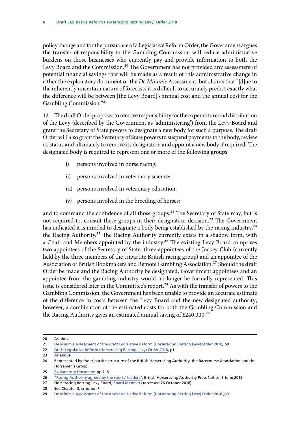policy change and for the pursuance of a Legislative Reform Order, the Government argues the transfer of responsibility to the Gambling Commission will reduce administrative burdens on those businesses who currently pay and provide information to both the Levy Board and the Commission.<sup>20</sup> The Government has not provided any assessment of potential financial savings that will be made as a result of this administrative change in either the explanatory document or the *De Minimis* Assessment, but claims that "[d]ue to the inherently uncertain nature of forecasts it is difficult to accurately predict exactly what the difference will be between [the Levy Board]'s annual cost and the annual cost for the Gambling Commission."21

12. The draft Order proposes to remove responsibility for the expenditure and distribution of the Levy (described by the Government as 'administering') from the Levy Board and grant the Secretary of State powers to designate a new body for such a purpose. The draft Order will also grant the Secretary of State powers to suspend payments to the body, review its status and ultimately to remove its designation and appoint a new body if required. The designated body is required to represent one or more of the following groups:

- i) persons involved in horse racing;
- ii) persons involved in veterinary science;
- iii) persons involved in veterinary education;
- iv) persons involved in the breeding of horses;

and to command the confidence of all those groups.<sup>22</sup> The Secretary of State may, but is not required to, consult these groups in their designation decision.<sup>23</sup> The Government has indicated it is minded to designate a body being established by the racing industry,  $24$ the Racing Authority.<sup>25</sup> The Racing Authority currently exists in a shadow form, with a Chair and Members appointed by the industry.<sup>26</sup> The existing Levy Board comprises two appointees of the Secretary of State, three appointees of the Jockey Club (currently held by the three members of the tripartite British racing group) and an appointee of the Association of British Bookmakers and Remote Gambling Association.<sup>27</sup> Should the draft Order be made and the Racing Authority be designated, Government appointees and an appointee from the gambling industry would no longer be formally represented. This issue is considered later in the Committee's report.<sup>28</sup> As with the transfer of powers to the Gambling Commission, the Government has been unable to provide an accurate estimate of the difference in costs between the Levy Board and the new designated authority; however, a combination of the estimated costs for both the Gambling Commission and the Racing Authority gives an estimated annual saving of  $\text{\pounds}240,000$ <sup>29</sup>

<sup>20</sup> As above.

<sup>21</sup> [De Minimis Assessment of the draft Legislative Reform \(Horseracing Betting Levy\) Order 2018](https://www.legislation.gov.uk/ukia/2018/128/pdfs/ukia_20180128_en.pdf)*,* p9

<sup>22</sup> [Draft Legislative Reform \(Horseracing Betting Levy\) Order 2018,](https://www.legislation.gov.uk/ukdsi/2018/9780111173084/pdfs/ukdsi_9780111173084_en.pdf) p1

<sup>23</sup> As above.

<sup>24</sup> Represented by the tripartite structure of the British Horseracing Authority, the Racecourse Association and the Horsemen's Group.

<sup>25</sup> [Explanatory Document](https://www.legislation.gov.uk/ukdsi/2018/9780111173084/pdfs/ukdsiem_9780111173084_en.pdf) pp 7–8

<sup>26</sup> ["Racing Authority agreed by the sports' leaders"](https://www.britishhorseracing.com/press_releases/racing-authority-agreed-sports-leaders/), British Horseracing Authority Press Notice, 8 June 2018

<sup>27</sup> Horseracing Betting Levy Board, [Board Members](https://www.hblb.org.uk/page/15) (accessed 26 October 2018)

<sup>28</sup> See Chapter 3, criterion F

<sup>29</sup> [De Minimis Assessment of the draft Legislative Reform \(Horseracing Betting Levy\) Order 2018](https://www.legislation.gov.uk/ukia/2018/128/pdfs/ukia_20180128_en.pdf), p9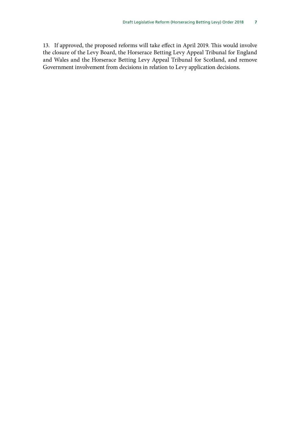13. If approved, the proposed reforms will take effect in April 2019. This would involve the closure of the Levy Board, the Horserace Betting Levy Appeal Tribunal for England and Wales and the Horserace Betting Levy Appeal Tribunal for Scotland, and remove Government involvement from decisions in relation to Levy application decisions.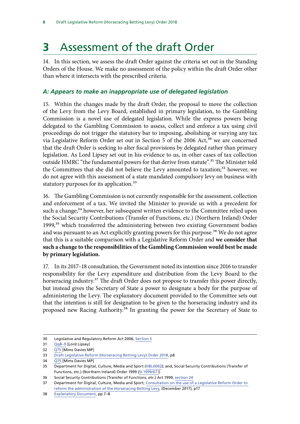# <span id="page-12-0"></span>**3** Assessment of the draft Order

14. In this section, we assess the draft Order against the criteria set out in the Standing Orders of the House. We make no assessment of the policy within the draft Order other than where it intersects with the prescribed criteria.

### *A: Appears to make an inappropriate use of delegated legislation*

15. Within the changes made by the draft Order, the proposal to move the collection of the Levy from the Levy Board, established in primary legislation, to the Gambling Commission is a novel use of delegated legislation. While the express powers being delegated to the Gambling Commission to assess, collect and enforce a tax using civil proceedings do not trigger the statutory bar to imposing, abolishing or varying any tax via Legislative Reform Order set out in Section 5 of the 2006 Act,<sup>30</sup> we are concerned that the draft Order is seeking to alter fiscal provisions by delegated rather than primary legislation. As Lord Lipsey set out in his evidence to us, in other cases of tax collection outside HMRC "the fundamental powers for that derive from statute".<sup>31</sup> The Minister told the Committees that she did not believe the Levy amounted to taxation;<sup>32</sup> however, we do not agree with this assessment of a state mandated compulsory levy on business with statutory purposes for its application.<sup>33</sup>

16. The Gambling Commission is not currently responsible for the assessment, collection and enforcement of a tax. We invited the Minister to provide us with a precedent for such a change;<sup>34</sup> however, her subsequent written evidence to the Committee relied upon the Social Security Contributions (Transfer of Functions, etc.) (Northern Ireland) Order 1999, $35$  which transferred the administering between two existing Government bodies and was pursuant to an Act explicitly granting powers for this purpose.<sup>36</sup> We do not agree that this is a suitable comparison with a Legislative Reform Order and **we consider that such a change to the responsibilities of the Gambling Commission would best be made by primary legislation.**

17. In its 2017–18 consultation, the Government noted its intention since 2016 to transfer responsibility for the Levy expenditure and distribution from the Levy Board to the horseracing industry.<sup>37</sup> The draft Order does not propose to transfer this power directly, but instead gives the Secretary of State a power to designate a body for the purpose of administering the Levy. The explanatory document provided to the Committee sets out that the intention is still for designation to be given to the horseracing industry and its proposed new Racing Authority.<sup>38</sup> In granting the power for the Secretary of State to

<sup>30</sup> Legislative and Regulatory Reform Act 2006, [Section 5](https://www.legislation.gov.uk/ukpga/2006/51/section/5)

<sup>31</sup> [Qq8–9](http://data.parliament.uk/writtenevidence/committeeevidence.svc/evidencedocument/regulatory-reform-committee/draft-legislative-reform-horseracing-betting-levy-order-2018/oral/92693.html) [Lord Lipsey]

<sup>32</sup> [Q75](http://data.parliament.uk/writtenevidence/committeeevidence.svc/evidencedocument/regulatory-reform-committee/draft-legislative-reform-horseracing-betting-levy-order-2018/oral/92693.html) [Mims Davies MP]

<sup>33</sup> [Draft Legislative Reform \(Horseracing Betting Levy\) Order 2018,](https://www.legislation.gov.uk/ukdsi/2018/9780111173084/pdfs/ukdsi_9780111173084_en.pdf) p8

<sup>34</sup> [Q75](http://data.parliament.uk/writtenevidence/committeeevidence.svc/evidencedocument/regulatory-reform-committee/draft-legislative-reform-horseracing-betting-levy-order-2018/oral/92693.html) [Mims Davies MP]

<sup>35</sup> Department for Digital, Culture, Media and Sport ([HBL0002](http://data.parliament.uk/WrittenEvidence/CommitteeEvidence.svc/EvidenceDocument/Regulatory%20Reform%20Committee/Draft%20Legislative%20Reform%20Horseracing%20Betting%20Levy%20Order%202018/written/93274.html)); and, Social Security Contributions (Transfer of Functions, etc.) (Northern Ireland) Order 1999 [\(SI 1999/671\)](https://www.legislation.gov.uk/uksi/1999/671/contents/made)

<sup>36</sup> Social Security Contributions (Transfer of Functions, etc.) Act 1999, [section 24](https://www.legislation.gov.uk/ukpga/1999/2/section/24)

<sup>37</sup> Department for Digital, Culture, Media and Sport, [Consultation on the use of a Legislative Reform Order to](https://assets.publishing.service.gov.uk/government/uploads/system/uploads/attachment_data/file/670360/Consultation_on_the_use_of_a_Legislative_Reform_Order_to_reform_the_administration_of_the_Horserace_Betting_Levy.pdf)  [reform the administration of the Horseracing Betting Levy](https://assets.publishing.service.gov.uk/government/uploads/system/uploads/attachment_data/file/670360/Consultation_on_the_use_of_a_Legislative_Reform_Order_to_reform_the_administration_of_the_Horserace_Betting_Levy.pdf), (December 2017), p17

<sup>38</sup> [Explanatory Document](https://www.legislation.gov.uk/ukdsi/2018/9780111173084/pdfs/ukdsiem_9780111173084_en.pdf%20p13), pp 7–8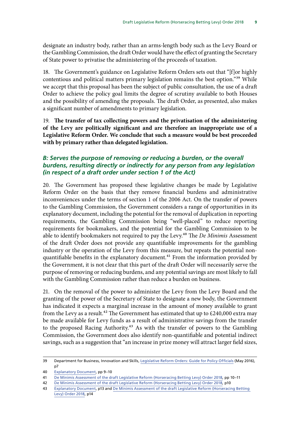<span id="page-13-0"></span>designate an industry body, rather than an arms-length body such as the Levy Board or the Gambling Commission, the draft Order would have the effect of granting the Secretary of State power to privatise the administering of the proceeds of taxation.

18. The Government's guidance on Legislative Reform Orders sets out that "[f]or highly contentious and political matters primary legislation remains the best option."<sup>39</sup> While we accept that this proposal has been the subject of public consultation, the use of a draft Order to achieve the policy goal limits the degree of scrutiny available to both Houses and the possibility of amending the proposals. The draft Order, as presented, also makes a significant number of amendments to primary legislation.

19. **The transfer of tax collecting powers and the privatisation of the administering of the Levy are politically significant and are therefore an inappropriate use of a Legislative Reform Order. We conclude that such a measure would be best proceeded with by primary rather than delegated legislation.**

### *B: Serves the purpose of removing or reducing a burden, or the overall burdens, resulting directly or indirectly for any person from any legislation (in respect of a draft order under section 1 of the Act)*

20. The Government has proposed these legislative changes be made by Legislative Reform Order on the basis that they remove financial burdens and administrative inconveniences under the terms of section 1 of the 2006 Act. On the transfer of powers to the Gambling Commission, the Government considers a range of opportunities in its explanatory document, including the potential for the removal of duplication in reporting requirements, the Gambling Commission being "well-placed" to reduce reporting requirements for bookmakers, and the potential for the Gambling Commission to be able to identify bookmakers not required to pay the Levy.<sup>40</sup> The *De Minimis* Assessment of the draft Order does not provide any quantifiable improvements for the gambling industry or the operation of the Levy from this measure, but repeats the potential nonquantifiable benefits in the explanatory document.41 From the information provided by the Government, it is not clear that this part of the draft Order will necessarily serve the purpose of removing or reducing burdens, and any potential savings are most likely to fall with the Gambling Commission rather than reduce a burden on business.

21. On the removal of the power to administer the Levy from the Levy Board and the granting of the power of the Secretary of State to designate a new body, the Government has indicated it expects a marginal increase in the amount of money available to grant from the Levy as a result.<sup>42</sup> The Government has estimated that up to £240,000 extra may be made available for Levy funds as a result of administrative savings from the transfer to the proposed Racing Authority.<sup>43</sup> As with the transfer of powers to the Gambling Commission, the Government does also identify non-quantifiable and potential indirect savings, such as a suggestion that "an increase in prize money will attract larger field sizes,

<sup>39</sup> Department for Business, Innovation and Skills, [Legislative Reform Orders: Guide for Policy Officials](https://assets.publishing.service.gov.uk/government/uploads/system/uploads/attachment_data/file/523914/bis-16-223-lro-guide-policy-officials.pdf) (May 2016), p7

<sup>40</sup> [Explanatory Document](https://www.legislation.gov.uk/ukdsi/2018/9780111173084/pdfs/ukdsiem_9780111173084_en.pdf), pp 9–10

<sup>41</sup> [De Minimis Assessment of the draft Legislative Reform \(Horseracing Betting Levy\) Order 2018](https://www.legislation.gov.uk/ukia/2018/128/pdfs/ukia_20180128_en.pdf)*,* pp 10–11

<sup>42</sup> [De Minimis Assessment of the draft Legislative Reform \(Horseracing Betting Levy\) Order 2018](https://www.legislation.gov.uk/ukia/2018/128/pdfs/ukia_20180128_en.pdf)*,* p10

<sup>43</sup> [Explanatory Document](https://www.legislation.gov.uk/ukdsi/2018/9780111173084/pdfs/ukdsiem_9780111173084_en.pdf%20p13), p13 and De Minimis Assessment of the draft Legislative Reform (Horseracing Betting [Levy\) Order 2018](https://www.legislation.gov.uk/ukia/2018/128/pdfs/ukia_20180128_en.pdf)*,* p14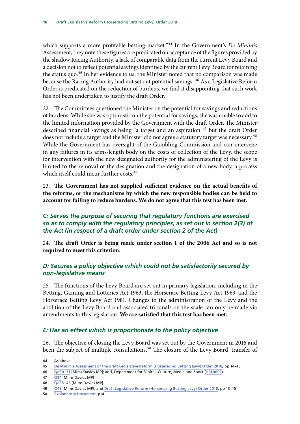<span id="page-14-0"></span>which supports a more profitable betting market."44 In the Government's *De Minimis*  Assessment, they note these figures are predicated on acceptance of the figures provided by the shadow Racing Authority, a lack of comparable data from the current Levy Board and a decision not to reflect potential savings identified by the current Levy Board for retaining the status quo.<sup>45</sup> In her evidence to us, the Minister noted that no comparison was made because the Racing Authority had not set out potential savings .<sup>46</sup> As a Legislative Reform Order is predicated on the reduction of burdens, we find it disappointing that such work has not been undertaken to justify the draft Order.

22. The Committees questioned the Minister on the potential for savings and reductions of burdens. While she was optimistic on the potential for savings, she was unable to add to the limited information provided by the Government with the draft Order. The Minister described financial savings as being "a target and an aspiration"47 but the draft Order does not include a target and the Minister did not agree a statutory target was necessary.<sup>48</sup> While the Government has oversight of the Gambling Commission and can intervene in any failures in its arms-length body on the costs of collection of the Levy, the scope for intervention with the new designated authority for the administering of the Levy is limited to the removal of the designation and the designation of a new body, a process which itself could incur further costs.<sup>49</sup>

23. **The Government has not supplied sufficient evidence on the actual benefits of the reforms, or the mechanisms by which the new responsible bodies can be held to account for failing to reduce burdens. We do not agree that this test has been met.**

#### *C: Serves the purpose of securing that regulatory functions are exercised so as to comply with the regulatory principles, as set out in section 2(3) of the Act (in respect of a draft order under section 2 of the Act)*

24. **The draft Order is being made under section 1 of the 2006 Act and so is not required to meet this criterion.**

### *D: Secures a policy objective which could not be satisfactorily secured by non-legislative means*

25. The functions of the Levy Board are set out in primary legislation, including in the Betting, Gaming and Lotteries Act 1963, the Horserace Betting Levy Act 1969, and the Horserace Betting Levy Act 1981. Changes to the administration of the Levy and the abolition of the Levy Board and associated tribunals on the scale can only be made via amendments to this legislation. **We are satisfied that this test has been met.**

### *E: Has an effect which is proportionate to the policy objective*

26. The objective of closing the Levy Board was set out by the Government in 2016 and been the subject of multiple consultations.<sup>50</sup> The closure of the Levy Board, transfer of

- 47 [Q34](http://data.parliament.uk/writtenevidence/committeeevidence.svc/evidencedocument/regulatory-reform-committee/draft-legislative-reform-horseracing-betting-levy-order-2018/oral/92693.html) [Mims Davies MP]
- 48 [Qq35–45](http://data.parliament.uk/writtenevidence/committeeevidence.svc/evidencedocument/regulatory-reform-committee/draft-legislative-reform-horseracing-betting-levy-order-2018/oral/92693.html) [Mims Davies MP]

<sup>44</sup> As above.

<sup>45</sup> [De Minimis Assessment of the draft Legislative Reform \(Horseracing Betting Levy\) Order 2018](https://www.legislation.gov.uk/ukia/2018/128/pdfs/ukia_20180128_en.pdf)*,* pp 14–15

<sup>46</sup> [Qq30–31](http://data.parliament.uk/writtenevidence/committeeevidence.svc/evidencedocument/regulatory-reform-committee/draft-legislative-reform-horseracing-betting-levy-order-2018/oral/92693.html) [Mims Davies MP]; and, Department for Digital, Culture, Media and Sport [\(HBL0002\)](http://data.parliament.uk/WrittenEvidence/CommitteeEvidence.svc/EvidenceDocument/Regulatory%20Reform%20Committee/Draft%20Legislative%20Reform%20Horseracing%20Betting%20Levy%20Order%202018/written/93274.html).

<sup>49</sup> [Q43](http://data.parliament.uk/writtenevidence/committeeevidence.svc/evidencedocument/regulatory-reform-committee/draft-legislative-reform-horseracing-betting-levy-order-2018/oral/92693.html) [Mims Davies MP], and [Draft Legislative Reform \(Horseracing Betting Levy\) Order 2018,](https://www.legislation.gov.uk/ukdsi/2018/9780111173084/pdfs/ukdsi_9780111173084_en.pdf) pp 13–15

<sup>50</sup> [Explanatory Document](https://www.legislation.gov.uk/ukdsi/2018/9780111173084/pdfs/ukdsiem_9780111173084_en.pdf), p14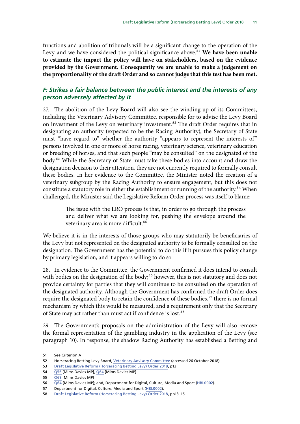<span id="page-15-0"></span>functions and abolition of tribunals will be a significant change to the operation of the Levy and we have considered the political significance above.<sup>51</sup> We have been unable **to estimate the impact the policy will have on stakeholders, based on the evidence provided by the Government. Consequently we are unable to make a judgement on the proportionality of the draft Order and so cannot judge that this test has been met.**

#### *F: Strikes a fair balance between the public interest and the interests of any person adversely affected by it*

27. The abolition of the Levy Board will also see the winding-up of its Committees, including the Veterinary Advisory Committee, responsible for to advise the Levy Board on investment of the Levy on veterinary investment.<sup>52</sup> The draft Order requires that in designating an authority (expected to be the Racing Authority), the Secretary of State must "have regard to" whether the authority "appears to represent the interests of" persons involved in one or more of horse racing, veterinary science, veterinary education or breeding of horses, and that such people "may be consulted" on the designated of the body.53 While the Secretary of State must take these bodies into account and draw the designation decision to their attention, they are not currently required to formally consult these bodies. In her evidence to the Committee, the Minister noted the creation of a veterinary subgroup by the Racing Authority to ensure engagement, but this does not constitute a statutory role in either the establishment or running of the authority.<sup>54</sup> When challenged, the Minister said the Legislative Reform Order process was itself to blame:

> The issue with the LRO process is that, in order to go through the process and deliver what we are looking for, pushing the envelope around the veterinary area is more difficult.<sup>55</sup>

We believe it is in the interests of those groups who may statutorily be beneficiaries of the Levy but not represented on the designated authority to be formally consulted on the designation. The Government has the potential to do this if it pursues this policy change by primary legislation, and it appears willing to do so.

28. In evidence to the Committee, the Government confirmed it does intend to consult with bodies on the designation of the body;<sup>56</sup> however, this is not statutory and does not provide certainty for parties that they will continue to be consulted on the operation of the designated authority. Although the Government has confirmed the draft Order does require the designated body to retain the confidence of these bodies,<sup>57</sup> there is no formal mechanism by which this would be measured, and a requirement only that the Secretary of State may act rather than must act if confidence is lost.<sup>58</sup>

29. The Government's proposals on the administration of the Levy will also remove the formal representation of the gambling industry in the application of the Levy (see paragraph 10). In response, the shadow Racing Authority has established a Betting and

<sup>51</sup> See Criterion A.

<sup>52</sup> Horseracing Betting Levy Board, [Veterinary Advisory Committee](https://www.hblb.org.uk/page/68) (accessed 26 October 2018)

<sup>53</sup> [Draft Legislative Reform \(Horseracing Betting Levy\) Order 2018,](https://www.legislation.gov.uk/ukdsi/2018/9780111173084/pdfs/ukdsi_9780111173084_en.pdf) p13

<sup>54</sup> [Q56](http://data.parliament.uk/writtenevidence/committeeevidence.svc/evidencedocument/regulatory-reform-committee/draft-legislative-reform-horseracing-betting-levy-order-2018/oral/92693.html) [Mims Davies MP], [Q64](http://data.parliament.uk/writtenevidence/committeeevidence.svc/evidencedocument/regulatory-reform-committee/draft-legislative-reform-horseracing-betting-levy-order-2018/oral/92693.html) [Mims Davies MP]

<sup>55</sup> [Q69](http://data.parliament.uk/writtenevidence/committeeevidence.svc/evidencedocument/regulatory-reform-committee/draft-legislative-reform-horseracing-betting-levy-order-2018/oral/92693.html) [Mims Davies MP]

<sup>56</sup> [Q64](http://data.parliament.uk/writtenevidence/committeeevidence.svc/evidencedocument/regulatory-reform-committee/draft-legislative-reform-horseracing-betting-levy-order-2018/oral/92693.html) [Mims Davies MP]; and, Department for Digital, Culture, Media and Sport [\(HBL0002\)](http://data.parliament.uk/WrittenEvidence/CommitteeEvidence.svc/EvidenceDocument/Regulatory%20Reform%20Committee/Draft%20Legislative%20Reform%20Horseracing%20Betting%20Levy%20Order%202018/written/93274.html).

<sup>57</sup> Department for Digital, Culture, Media and Sport ([HBL0002](http://data.parliament.uk/WrittenEvidence/CommitteeEvidence.svc/EvidenceDocument/Regulatory%20Reform%20Committee/Draft%20Legislative%20Reform%20Horseracing%20Betting%20Levy%20Order%202018/written/93274.html)).

<sup>58</sup> [Draft Legislative Reform \(Horseracing Betting Levy\) Order 2018,](https://www.legislation.gov.uk/ukdsi/2018/9780111173084/pdfs/ukdsi_9780111173084_en.pdf) pp13–15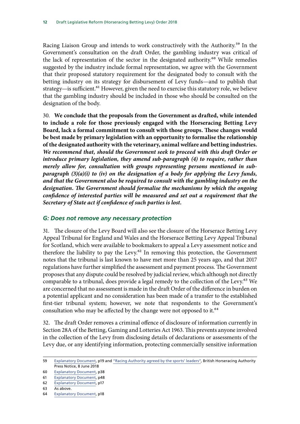<span id="page-16-0"></span>Racing Liaison Group and intends to work constructively with the Authority.<sup>59</sup> In the Government's consultation on the draft Order, the gambling industry was critical of the lack of representation of the sector in the designated authority.<sup>60</sup> While remedies suggested by the industry include formal representation, we agree with the Government that their proposed statutory requirement for the designated body to consult with the betting industry on its strategy for disbursement of Levy funds—and to publish that strategy—is sufficient.<sup>61</sup> However, given the need to exercise this statutory role, we believe that the gambling industry should be included in those who should be consulted on the designation of the body.

30. **We conclude that the proposals from the Government as drafted, while intended to include a role for those previously engaged with the Horseracing Betting Levy Board, lack a formal commitment to consult with those groups. These changes would be best made by primary legislation with an opportunity to formalise the relationship of the designated authority with the veterinary, animal welfare and betting industries.**  *We recommend that, should the Government seek to proceed with this draft Order or introduce primary legislation, they amend sub-paragraph (4) to require, rather than merely allow for, consultation with groups representing persons mentioned in subparagraph (3)(a)(i) to (iv) on the designation of a body for applying the Levy funds, and that the Government also be required to consult with the gambling industry on the designation. The Government should formalise the mechanisms by which the ongoing confidence of interested parties will be measured and set out a requirement that the Secretary of State act if confidence of such parties is lost.*

#### *G: Does not remove any necessary protection*

31. The closure of the Levy Board will also see the closure of the Horserace Betting Levy Appeal Tribunal for England and Wales and the Horserace Betting Levy Appeal Tribunal for Scotland, which were available to bookmakers to appeal a Levy assessment notice and therefore the liability to pay the Levy. $62$  In removing this protection, the Government notes that the tribunal is last known to have met more than 25 years ago, and that 2017 regulations have further simplified the assessment and payment process. The Government proposes that any dispute could be resolved by judicial review, which although not directly comparable to a tribunal, does provide a legal remedy to the collection of the Levy.<sup>63</sup> We are concerned that no assessment is made in the draft Order of the difference in burden on a potential applicant and no consideration has been made of a transfer to the established first-tier tribunal system; however, we note that respondents to the Government's consultation who may be affected by the change were not opposed to it.<sup>64</sup>

32. The draft Order removes a criminal offence of disclosure of information currently in Section 28A of the Betting, Gaming and Lotteries Act 1963. This prevents anyone involved in the collection of the Levy from disclosing details of declarations or assessments of the Levy due, or any identifying information, protecting commercially sensitive information

<sup>59</sup> [Explanatory Document](https://www.legislation.gov.uk/ukdsi/2018/9780111173084/pdfs/ukdsiem_9780111173084_en.pdf), p19 and ["Racing Authority agreed by the sports' leaders",](https://www.britishhorseracing.com/press_releases/racing-authority-agreed-sports-leaders/) British Horseracing Authority Press Notice, 8 June 2018

<sup>60</sup> [Explanatory Document](https://www.legislation.gov.uk/ukdsi/2018/9780111173084/pdfs/ukdsiem_9780111173084_en.pdf), p38

<sup>61</sup> [Explanatory Document](https://www.legislation.gov.uk/ukdsi/2018/9780111173084/pdfs/ukdsiem_9780111173084_en.pdf), p48

<sup>62</sup> [Explanatory Document](https://www.legislation.gov.uk/ukdsi/2018/9780111173084/pdfs/ukdsiem_9780111173084_en.pdf), p17

<sup>63</sup> As above.

<sup>64</sup> [Explanatory Document](https://www.legislation.gov.uk/ukdsi/2018/9780111173084/pdfs/ukdsiem_9780111173084_en.pdf), p18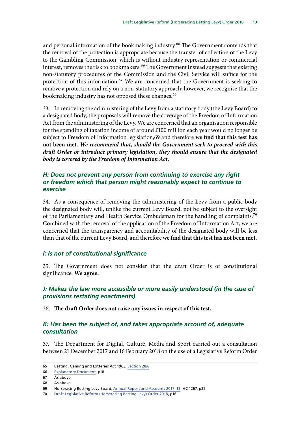<span id="page-17-0"></span>and personal information of the bookmaking industry.<sup>65</sup> The Government contends that the removal of the protection is appropriate because the transfer of collection of the Levy to the Gambling Commission, which is without industry representation or commercial interest, removes the risk to bookmakers.<sup>66</sup> The Government instead suggests that existing non-statutory procedures of the Commission and the Civil Service will suffice for the protection of this information.<sup>67</sup> We are concerned that the Government is seeking to remove a protection and rely on a non-statutory approach; however, we recognise that the bookmaking industry has not opposed these changes.<sup>68</sup>

33. In removing the administering of the Levy from a statutory body (the Levy Board) to a designated body, the proposals will remove the coverage of the Freedom of Information Act from the administering of the Levy. We are concerned that an organisation responsible for the spending of taxation income of around £100 million each year would no longer be subject to Freedom of Information legislation,69 and therefore **we find that this test has not been met.** *We recommend that, should the Government seek to proceed with this draft Order or introduce primary legislation, they should ensure that the designated body is covered by the Freedom of Information Act.*

#### *H: Does not prevent any person from continuing to exercise any right or freedom which that person might reasonably expect to continue to exercise*

34. As a consequence of removing the administering of the Levy from a public body the designated body will, unlike the current Levy Board, not be subject to the oversight of the Parliamentary and Health Service Ombudsman for the handling of complaints.<sup>70</sup> Combined with the removal of the application of the Freedom of Information Act, we are concerned that the transparency and accountability of the designated body will be less than that of the current Levy Board, and therefore **we find that this test has not been met.**

#### *I: Is not of constitutional significance*

35. The Government does not consider that the draft Order is of constitutional significance. **We agree.**

#### *J: Makes the law more accessible or more easily understood (in the case of provisions restating enactments)*

36. **The draft Order does not raise any issues in respect of this test.**

#### *K: Has been the subject of, and takes appropriate account of, adequate consultation*

37. The Department for Digital, Culture, Media and Sport carried out a consultation between 21 December 2017 and 16 February 2018 on the use of a Legislative Reform Order

66 [Explanatory Document](https://www.legislation.gov.uk/ukdsi/2018/9780111173084/pdfs/ukdsiem_9780111173084_en.pdf), p18

<sup>65</sup> Betting, Gaming and Lotteries Act 1963, [Section 28A](https://www.legislation.gov.uk/ukpga/1963/2/section/28A)

<sup>67</sup> As above.

<sup>68</sup> As above.

<sup>69</sup> Horseracing Betting Levy Board, [Annual Report and Accounts 2017–18](https://www.hblb.org.uk/documents/Executive/HBLB%20Annual%20Report%202017-18.pdf), HC 1267, p32

<sup>70</sup> [Draft Legislative Reform \(Horseracing Betting Levy\) Order 2018,](https://www.legislation.gov.uk/ukdsi/2018/9780111173084/pdfs/ukdsi_9780111173084_en.pdf) p16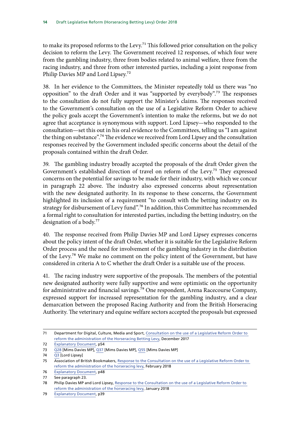to make its proposed reforms to the Levy.<sup>71</sup> This followed prior consultation on the policy decision to reform the Levy. The Government received 12 responses, of which four were from the gambling industry, three from bodies related to animal welfare, three from the racing industry, and three from other interested parties, including a joint response from Philip Davies MP and Lord Lipsey.<sup>72</sup>

38. In her evidence to the Committees, the Minister repeatedly told us there was "no opposition" to the draft Order and it was "supported by everybody".73 The responses to the consultation do not fully support the Minister's claims. The responses received to the Government's consultation on the use of a Legislative Reform Order to achieve the policy goals accept the Government's intention to make the reforms, but we do not agree that acceptance is synonymous with support. Lord Lipsey—who responded to the consultation—set this out in his oral evidence to the Committees, telling us "I am against the thing on substance".<sup>74</sup> The evidence we received from Lord Lipsey and the consultation responses received by the Government included specific concerns about the detail of the proposals contained within the draft Order.

39. The gambling industry broadly accepted the proposals of the draft Order given the Government's established direction of travel on reform of the Levy.<sup>75</sup> They expressed concerns on the potential for savings to be made for their industry, with which we concur in paragraph 22 above. The industry also expressed concerns about representation with the new designated authority. In its response to these concerns, the Government highlighted its inclusion of a requirement "to consult with the betting industry on its strategy for disbursement of Levy fund".<sup>76</sup> In addition, this Committee has recommended a formal right to consultation for interested parties, including the betting industry, on the designation of a body.77

40. The response received from Philip Davies MP and Lord Lipsey expresses concerns about the policy intent of the draft Order, whether it is suitable for the Legislative Reform Order process and the need for involvement of the gambling industry in the distribution of the Levy.78 We make no comment on the policy intent of the Government, but have considered in criteria A to C whether the draft Order is a suitable use of the process.

41. The racing industry were supportive of the proposals. The members of the potential new designated authority were fully supportive and were optimistic on the opportunity for administrative and financial savings.<sup>79</sup> One respondent, Arena Racecourse Company, expressed support for increased representation for the gambling industry, and a clear demarcation between the proposed Racing Authority and from the British Horseracing Authority. The veterinary and equine welfare sectors accepted the proposals but expressed

<sup>71</sup> Department for Digital, Culture, Media and Sport, [Consultation on the use of a Legislative Reform Order to](https://assets.publishing.service.gov.uk/government/uploads/system/uploads/attachment_data/file/670360/Consultation_on_the_use_of_a_Legislative_Reform_Order_to_reform_the_administration_of_the_Horserace_Betting_Levy.pdf)  [reform the administration of the Horseracing Betting Levy](https://assets.publishing.service.gov.uk/government/uploads/system/uploads/attachment_data/file/670360/Consultation_on_the_use_of_a_Legislative_Reform_Order_to_reform_the_administration_of_the_Horserace_Betting_Levy.pdf), December 2017

<sup>72</sup> [Explanatory Document](https://www.legislation.gov.uk/ukdsi/2018/9780111173084/pdfs/ukdsiem_9780111173084_en.pdf), p54

<sup>73</sup> [Q28](http://data.parliament.uk/writtenevidence/committeeevidence.svc/evidencedocument/regulatory-reform-committee/draft-legislative-reform-horseracing-betting-levy-order-2018/oral/92693.html) [Mims Davies MP], [Q37](http://data.parliament.uk/writtenevidence/committeeevidence.svc/evidencedocument/regulatory-reform-committee/draft-legislative-reform-horseracing-betting-levy-order-2018/oral/92693.html) [Mims Davies MP], [Q55](http://data.parliament.uk/writtenevidence/committeeevidence.svc/evidencedocument/regulatory-reform-committee/draft-legislative-reform-horseracing-betting-levy-order-2018/oral/92693.html) [Mims Davies MP]

<sup>74</sup> [Q3](http://data.parliament.uk/writtenevidence/committeeevidence.svc/evidencedocument/regulatory-reform-committee/draft-legislative-reform-horseracing-betting-levy-order-2018/oral/92693.html) [Lord Lipsey]

<sup>75</sup> Association of British Bookmakers, Response to the Consultation on the use of a Legislative Reform Order to [reform the administration of the horseracing levy,](https://www.gov.uk/government/consultations/consultation-on-the-use-of-a-legislative-reform-order-to-reform-the-administration-of-the-horserace-betting-levy) February 2018

<sup>76</sup> [Explanatory Document](https://www.legislation.gov.uk/ukdsi/2018/9780111173084/pdfs/ukdsiem_9780111173084_en.pdf), p48

<sup>77</sup> See paragraph 23.

<sup>78</sup> Philip Davies MP and Lord Lipsey, Response to the Consultation on the use of a Legislative Reform Order to [reform the administration of the horseracing levy,](https://www.gov.uk/government/consultations/consultation-on-the-use-of-a-legislative-reform-order-to-reform-the-administration-of-the-horserace-betting-levy) January 2018

<sup>79</sup> [Explanatory Document](https://www.legislation.gov.uk/ukdsi/2018/9780111173084/pdfs/ukdsiem_9780111173084_en.pdf), p39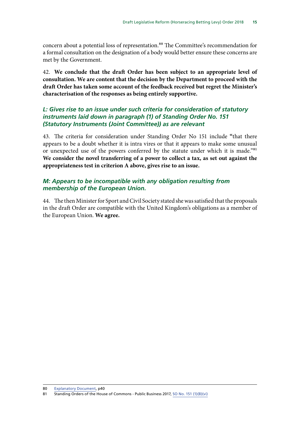<span id="page-19-0"></span>concern about a potential loss of representation.<sup>80</sup> The Committee's recommendation for a formal consultation on the designation of a body would better ensure these concerns are met by the Government.

42. **We conclude that the draft Order has been subject to an appropriate level of consultation. We are content that the decision by the Department to proceed with the draft Order has taken some account of the feedback received but regret the Minister's characterisation of the responses as being entirely supportive.**

#### *L: Gives rise to an issue under such criteria for consideration of statutory instruments laid down in paragraph (1) of Standing Order No. 151 (Statutory Instruments (Joint Committee)) as are relevant*

43. The criteria for consideration under Standing Order No 151 include **"**that there appears to be a doubt whether it is intra vires or that it appears to make some unusual or unexpected use of the powers conferred by the statute under which it is made."<sup>81</sup> **We consider the novel transferring of a power to collect a tax, as set out against the appropriateness test in criterion A above, gives rise to an issue.**

### *M: Appears to be incompatible with any obligation resulting from membership of the European Union.*

44. The then Minister for Sport and Civil Society stated she was satisfied that the proposals in the draft Order are compatible with the United Kingdom's obligations as a member of the European Union. **We agree.**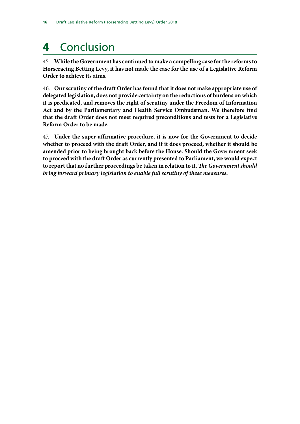# <span id="page-20-0"></span>**4** Conclusion

45. **While the Government has continued to make a compelling case for the reforms to Horseracing Betting Levy, it has not made the case for the use of a Legislative Reform Order to achieve its aims.**

46. **Our scrutiny of the draft Order has found that it does not make appropriate use of delegated legislation, does not provide certainty on the reductions of burdens on which it is predicated, and removes the right of scrutiny under the Freedom of Information Act and by the Parliamentary and Health Service Ombudsman. We therefore find that the draft Order does not meet required preconditions and tests for a Legislative Reform Order to be made.**

47. **Under the super-affirmative procedure, it is now for the Government to decide whether to proceed with the draft Order, and if it does proceed, whether it should be amended prior to being brought back before the House. Should the Government seek to proceed with the draft Order as currently presented to Parliament, we would expect to report that no further proceedings be taken in relation to it.** *The Government should bring forward primary legislation to enable full scrutiny of these measures.*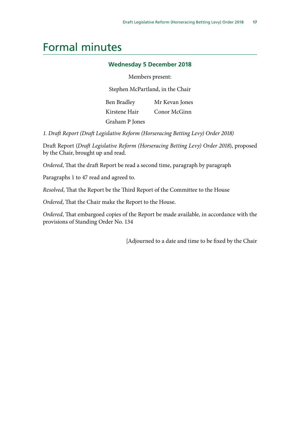### <span id="page-21-0"></span>Formal minutes

#### **Wednesday 5 December 2018**

Members present:

Stephen McPartland, in the Chair

Ben Bradley Kirstene Hair Graham P Jones Mr Kevan Jones Conor McGinn

*1. Draft Report (Draft Legislative Reform (Horseracing Betting Levy) Order 2018)*

Draft Report (*Draft Legislative Reform (Horseracing Betting Levy) Order 2018*), proposed by the Chair, brought up and read.

*Ordered*, That the draft Report be read a second time, paragraph by paragraph

Paragraphs 1 to 47 read and agreed to.

*Resolved*, That the Report be the Third Report of the Committee to the House

*Ordered*, That the Chair make the Report to the House.

*Ordered*, That embargoed copies of the Report be made available, in accordance with the provisions of Standing Order No. 134

[Adjourned to a date and time to be fixed by the Chair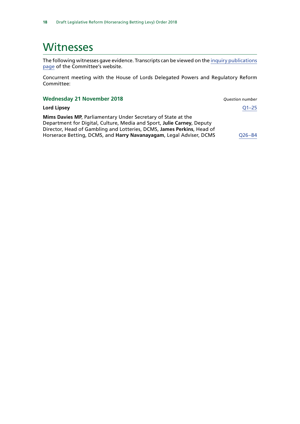### <span id="page-22-0"></span>**Witnesses**

The following witnesses gave evidence. Transcripts can be viewed on the [inquiry publications](https://www.parliament.uk/business/committees/committees-a-z/commons-select/regulatory-reform-committee/inquiries/parliament-2017/draft-legislative-reform-horseracing-betting-levy-inquiry-17-19/publications/) [page](https://www.parliament.uk/business/committees/committees-a-z/commons-select/regulatory-reform-committee/inquiries/parliament-2017/draft-legislative-reform-horseracing-betting-levy-inquiry-17-19/publications/) of the Committee's website.

Concurrent meeting with the House of Lords Delegated Powers and Regulatory Reform Committee:

| <b>Wednesday 21 November 2018</b>                                                                                                                                                                                                                                                               | <b>Ouestion number</b> |
|-------------------------------------------------------------------------------------------------------------------------------------------------------------------------------------------------------------------------------------------------------------------------------------------------|------------------------|
| Lord Lipsey                                                                                                                                                                                                                                                                                     | $Q1 - 25$              |
| <b>Mims Davies MP, Parliamentary Under Secretary of State at the</b><br>Department for Digital, Culture, Media and Sport, Julie Carney, Deputy<br>Director, Head of Gambling and Lotteries, DCMS, James Perkins, Head of<br>Horserace Betting, DCMS, and Harry Navanayagam, Legal Adviser, DCMS | $Q26 - 84$             |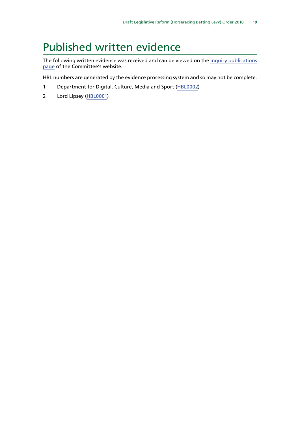## <span id="page-23-0"></span>Published written evidence

The following written evidence was received and can be viewed on the [inquiry publications](https://www.parliament.uk/business/committees/committees-a-z/commons-select/regulatory-reform-committee/inquiries/parliament-2017/draft-legislative-reform-horseracing-betting-levy-inquiry-17-19/publications/) [page](https://www.parliament.uk/business/committees/committees-a-z/commons-select/regulatory-reform-committee/inquiries/parliament-2017/draft-legislative-reform-horseracing-betting-levy-inquiry-17-19/publications/) of the Committee's website.

HBL numbers are generated by the evidence processing system and so may not be complete.

- 1 Department for Digital, Culture, Media and Sport ([HBL0002](http://data.parliament.uk/WrittenEvidence/CommitteeEvidence.svc/EvidenceDocument/Regulatory%20Reform%20Committee/Draft%20Legislative%20Reform%20Horseracing%20Betting%20Levy%20Order%202018/written/93274.html))
- 2 Lord Lipsey [\(HBL0001\)](http://data.parliament.uk/WrittenEvidence/CommitteeEvidence.svc/EvidenceDocument/Regulatory%20Reform%20Committee/Draft%20Legislative%20Reform%20Horseracing%20Betting%20Levy%20Order%202018/written/93161.html)